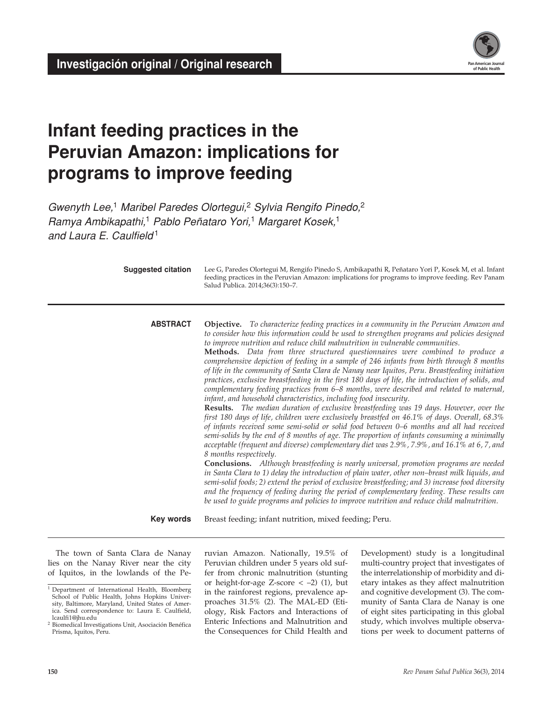

# **Infant feeding practices in the Peruvian Amazon: implications for programs to improve feeding**

*Gwenyth Lee,*1 *Maribel Paredes Olortegui,*2 *Sylvia Rengifo Pinedo,*<sup>2</sup> *Ramya Ambikapathi,*1 *Pablo Peñataro Yori,*1 *Margaret Kosek,*<sup>1</sup> *and Laura E. Caulfield* <sup>1</sup>

| <b>Suggested citation</b> | Lee G, Paredes Olortegui M, Rengifo Pinedo S, Ambikapathi R, Peñataro Yori P, Kosek M, et al. Infant<br>feeding practices in the Peruvian Amazon: implications for programs to improve feeding. Rev Panam<br>Salud Publica. 2014;36(3):150-7.                                                                                                                                                                                                                                                                                                                                                                                                                                                                                                                                                                                                                                                                                                                                                                                                                                                                                                                                                                                                                                                                                                                                                                                                                                                                                                                                                                                                                                                                                                                                                                                                        |
|---------------------------|------------------------------------------------------------------------------------------------------------------------------------------------------------------------------------------------------------------------------------------------------------------------------------------------------------------------------------------------------------------------------------------------------------------------------------------------------------------------------------------------------------------------------------------------------------------------------------------------------------------------------------------------------------------------------------------------------------------------------------------------------------------------------------------------------------------------------------------------------------------------------------------------------------------------------------------------------------------------------------------------------------------------------------------------------------------------------------------------------------------------------------------------------------------------------------------------------------------------------------------------------------------------------------------------------------------------------------------------------------------------------------------------------------------------------------------------------------------------------------------------------------------------------------------------------------------------------------------------------------------------------------------------------------------------------------------------------------------------------------------------------------------------------------------------------------------------------------------------------|
| <b>ABSTRACT</b>           | Objective. To characterize feeding practices in a community in the Peruvian Amazon and<br>to consider how this information could be used to strengthen programs and policies designed<br>to improve nutrition and reduce child malnutrition in vulnerable communities.<br>Methods. Data from three structured questionnaires were combined to produce a<br>comprehensive depiction of feeding in a sample of 246 infants from birth through 8 months<br>of life in the community of Santa Clara de Nanay near Iquitos, Peru. Breastfeeding initiation<br>practices, exclusive breastfeeding in the first 180 days of life, the introduction of solids, and<br>complementary feeding practices from 6–8 months, were described and related to maternal,<br>infant, and household characteristics, including food insecurity.<br><b>Results.</b> The median duration of exclusive breastfeeding was 19 days. However, over the<br>first 180 days of life, children were exclusively breastfed on 46.1% of days. Overall, 68.3%<br>of infants received some semi-solid or solid food between 0-6 months and all had received<br>semi-solids by the end of 8 months of age. The proportion of infants consuming a minimally<br>acceptable (frequent and diverse) complementary diet was 2.9%, 7.9%, and 16.1% at 6, 7, and<br>8 months respectively.<br><b>Conclusions.</b> Although breastfeeding is nearly universal, promotion programs are needed<br>in Santa Clara to 1) delay the introduction of plain water, other non-breast milk liquids, and<br>semi-solid foods; 2) extend the period of exclusive breastfeeding; and 3) increase food diversity<br>and the frequency of feeding during the period of complementary feeding. These results can<br>be used to guide programs and policies to improve nutrition and reduce child malnutrition. |
| Key words                 | Breast feeding; infant nutrition, mixed feeding; Peru.                                                                                                                                                                                                                                                                                                                                                                                                                                                                                                                                                                                                                                                                                                                                                                                                                                                                                                                                                                                                                                                                                                                                                                                                                                                                                                                                                                                                                                                                                                                                                                                                                                                                                                                                                                                               |

The town of Santa Clara de Nanay lies on the Nanay River near the city of Iquitos, in the lowlands of the Peruvian Amazon. Nationally, 19.5% of Peruvian children under 5 years old suffer from chronic malnutrition (stunting or height-for-age Z-score  $<-2$ ) (1), but in the rainforest regions, prevalence approaches 31.5% (2). The MAL-ED (Etiology, Risk Factors and Interactions of Enteric Infections and Malnutrition and the Consequences for Child Health and

Development) study is a longitudinal multi-country project that investigates of the interrelationship of morbidity and dietary intakes as they affect malnutrition and cognitive development (3). The community of Santa Clara de Nanay is one of eight sites participating in this global study, which involves multiple observations per week to document patterns of

<sup>&</sup>lt;sup>1</sup> Department of International Health, Bloomberg School of Public Health, Johns Hopkins University, Baltimore, Maryland, United States of America. Send correspondence to: Laura E. Caulfield, lcaulfi1@jhu.edu

<sup>2</sup> Biomedical Investigations Unit, Asociación Benéfica Prisma, Iquitos, Peru.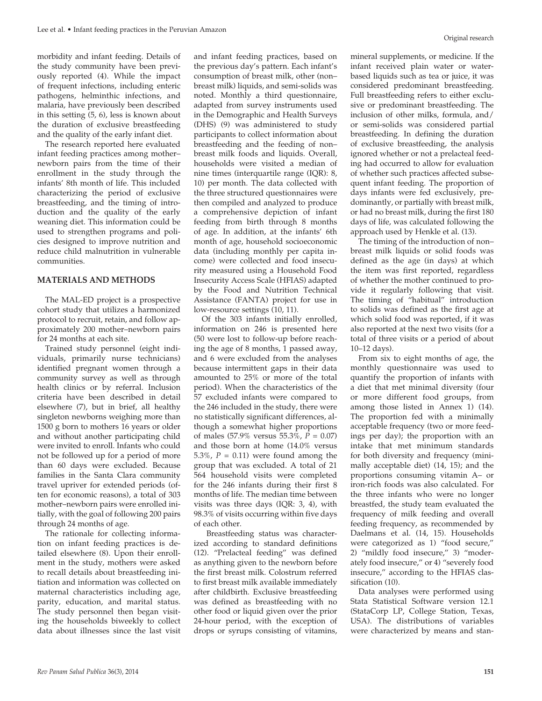morbidity and infant feeding. Details of the study community have been previously reported (4). While the impact of frequent infections, including enteric pathogens, helminthic infections, and malaria, have previously been described in this setting (5, 6), less is known about the duration of exclusive breastfeeding and the quality of the early infant diet.

The research reported here evaluated infant feeding practices among mother– newborn pairs from the time of their enrollment in the study through the infants' 8th month of life. This included characterizing the period of exclusive breastfeeding, and the timing of introduction and the quality of the early weaning diet. This information could be used to strengthen programs and policies designed to improve nutrition and reduce child malnutrition in vulnerable communities.

## **MATERIALS AND METHODS**

The MAL-ED project is a prospective cohort study that utilizes a harmonized protocol to recruit, retain, and follow approximately 200 mother–newborn pairs for 24 months at each site.

Trained study personnel (eight individuals, primarily nurse technicians) identified pregnant women through a community survey as well as through health clinics or by referral. Inclusion criteria have been described in detail elsewhere (7), but in brief, all healthy singleton newborns weighing more than 1500 g born to mothers 16 years or older and without another participating child were invited to enroll. Infants who could not be followed up for a period of more than 60 days were excluded. Because families in the Santa Clara community travel upriver for extended periods (often for economic reasons), a total of 303 mother–newborn pairs were enrolled initially, with the goal of following 200 pairs through 24 months of age.

The rationale for collecting information on infant feeding practices is detailed elsewhere (8). Upon their enrollment in the study, mothers were asked to recall details about breastfeeding initiation and information was collected on maternal characteristics including age, parity, education, and marital status. The study personnel then began visiting the households biweekly to collect data about illnesses since the last visit

and infant feeding practices, based on the previous day's pattern. Each infant's consumption of breast milk, other (non– breast milk) liquids, and semi-solids was noted. Monthly a third questionnaire, adapted from survey instruments used in the Demographic and Health Surveys (DHS) (9) was administered to study participants to collect information about breastfeeding and the feeding of non– breast milk foods and liquids. Overall, households were visited a median of nine times (interquartile range (IQR): 8, 10) per month. The data collected with the three structured questionnaires were then compiled and analyzed to produce a comprehensive depiction of infant feeding from birth through 8 months of age. In addition, at the infants' 6th month of age, household socioeconomic data (including monthly per capita income) were collected and food insecurity measured using a Household Food Insecurity Access Scale (HFIAS) adapted by the Food and Nutrition Technical Assistance (FANTA) project for use in low-resource settings (10, 11).

Of the 303 infants initially enrolled, information on 246 is presented here (50 were lost to follow-up before reaching the age of 8 months, 1 passed away, and 6 were excluded from the analyses because intermittent gaps in their data amounted to 25% or more of the total period). When the characteristics of the 57 excluded infants were compared to the 246 included in the study, there were no statistically significant differences, although a somewhat higher proportions of males (57.9% versus 55.3%, *P* = 0.07) and those born at home (14.0% versus 5.3%,  $P = 0.11$ ) were found among the group that was excluded. A total of 21 564 household visits were completed for the 246 infants during their first 8 months of life. The median time between visits was three days (IQR: 3, 4), with 98.3% of visits occurring within five days of each other.

 Breastfeeding status was characterized according to standard definitions (12). "Prelacteal feeding" was defined as anything given to the newborn before the first breast milk. Colostrum referred to first breast milk available immediately after childbirth. Exclusive breastfeeding was defined as breastfeeding with no other food or liquid given over the prior 24-hour period, with the exception of drops or syrups consisting of vitamins,

mineral supplements, or medicine. If the infant received plain water or waterbased liquids such as tea or juice, it was considered predominant breastfeeding. Full breastfeeding refers to either exclusive or predominant breastfeeding. The inclusion of other milks, formula, and/ or semi-solids was considered partial breastfeeding. In defining the duration of exclusive breastfeeding, the analysis ignored whether or not a prelacteal feeding had occurred to allow for evaluation of whether such practices affected subsequent infant feeding. The proportion of days infants were fed exclusively, predominantly, or partially with breast milk, or had no breast milk, during the first 180 days of life, was calculated following the approach used by Henkle et al. (13).

The timing of the introduction of non– breast milk liquids or solid foods was defined as the age (in days) at which the item was first reported, regardless of whether the mother continued to provide it regularly following that visit. The timing of "habitual" introduction to solids was defined as the first age at which solid food was reported, if it was also reported at the next two visits (for a total of three visits or a period of about 10–12 days).

From six to eight months of age, the monthly questionnaire was used to quantify the proportion of infants with a diet that met minimal diversity (four or more different food groups, from among those listed in Annex 1) (14). The proportion fed with a minimally acceptable frequency (two or more feedings per day); the proportion with an intake that met minimum standards for both diversity and frequency (minimally acceptable diet) (14, 15); and the proportions consuming vitamin A– or iron-rich foods was also calculated. For the three infants who were no longer breastfed, the study team evaluated the frequency of milk feeding and overall feeding frequency, as recommended by Daelmans et al. (14, 15). Households were categorized as 1) "food secure," 2) "mildly food insecure," 3) "moderately food insecure," or 4) "severely food insecure," according to the HFIAS classification (10).

Data analyses were performed using Stata Statistical Software version 12.1 (StataCorp LP, College Station, Texas, USA). The distributions of variables were characterized by means and stan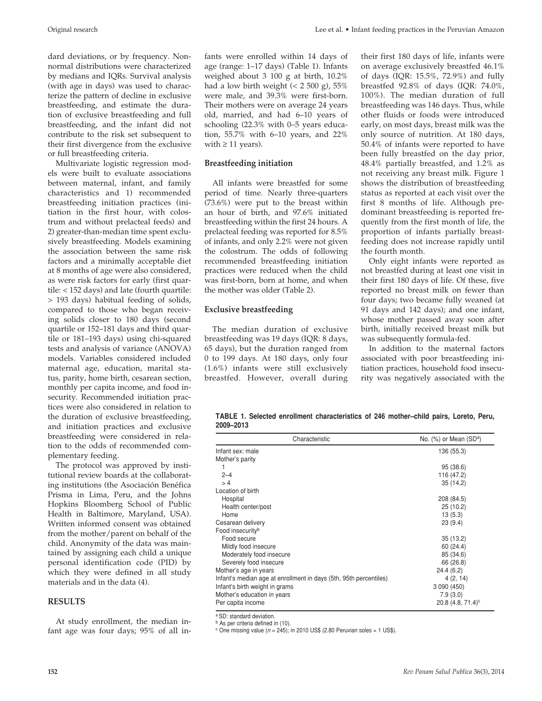dard deviations, or by frequency. Nonnormal distributions were characterized by medians and IQRs. Survival analysis (with age in days) was used to characterize the pattern of decline in exclusive breastfeeding, and estimate the duration of exclusive breastfeeding and full breastfeeding, and the infant did not contribute to the risk set subsequent to their first divergence from the exclusive or full breastfeeding criteria.

Multivariate logistic regression models were built to evaluate associations between maternal, infant, and family characteristics and 1) recommended breastfeeding initiation practices (initiation in the first hour, with colostrum and without prelacteal feeds) and 2) greater-than-median time spent exclusively breastfeeding. Models examining the association between the same risk factors and a minimally acceptable diet at 8 months of age were also considered, as were risk factors for early (first quartile: < 152 days) and late (fourth quartile: > 193 days) habitual feeding of solids, compared to those who began receiving solids closer to 180 days (second quartile or 152–181 days and third quartile or 181–193 days) using chi-squared tests and analysis of variance (ANOVA) models. Variables considered included maternal age, education, marital status, parity, home birth, cesarean section, monthly per capita income, and food insecurity. Recommended initiation practices were also considered in relation to the duration of exclusive breastfeeding, and initiation practices and exclusive breastfeeding were considered in relation to the odds of recommended complementary feeding.

The protocol was approved by institutional review boards at the collaborating institutions (the Asociación Benéfica Prisma in Lima, Peru, and the Johns Hopkins Bloomberg School of Public Health in Baltimore, Maryland, USA). Written informed consent was obtained from the mother/parent on behalf of the child. Anonymity of the data was maintained by assigning each child a unique personal identification code (PID) by which they were defined in all study materials and in the data (4).

## **RESULTS**

At study enrollment, the median infant age was four days; 95% of all infants were enrolled within 14 days of age (range: 1–17 days) (Table 1). Infants weighed about 3 100 g at birth, 10.2% had a low birth weight  $(< 2500 \text{ g})$ , 55% were male, and 39.3% were first-born. Their mothers were on average 24 years old, married, and had 6–10 years of schooling (22.3% with 0–5 years education, 55.7% with 6–10 years, and 22% with  $\geq 11$  years).

# **Breastfeeding initiation**

All infants were breastfed for some period of time. Nearly three-quarters (73.6%) were put to the breast within an hour of birth, and 97.6% initiated breastfeeding within the first 24 hours. A prelacteal feeding was reported for 8.5% of infants, and only 2.2% were not given the colostrum. The odds of following recommended breastfeeding initiation practices were reduced when the child was first-born, born at home, and when the mother was older (Table 2).

# **Exclusive breastfeeding**

The median duration of exclusive breastfeeding was 19 days (IQR: 8 days, 65 days), but the duration ranged from 0 to 199 days. At 180 days, only four (1.6%) infants were still exclusively breastfed. However, overall during their first 180 days of life, infants were on average exclusively breastfed 46.1% of days (IQR: 15.5%, 72.9%) and fully breastfed 92.8% of days (IQR: 74.0%, 100%). The median duration of full breastfeeding was 146 days. Thus, while other fluids or foods were introduced early, on most days, breast milk was the only source of nutrition. At 180 days, 50.4% of infants were reported to have been fully breastfed on the day prior, 48.4% partially breastfed, and 1.2% as not receiving any breast milk. Figure 1 shows the distribution of breastfeeding status as reported at each visit over the first 8 months of life. Although predominant breastfeeding is reported frequently from the first month of life, the proportion of infants partially breastfeeding does not increase rapidly until the fourth month.

Only eight infants were reported as not breastfed during at least one visit in their first 180 days of life. Of these, five reported no breast milk on fewer than four days; two became fully weaned (at 91 days and 142 days); and one infant, whose mother passed away soon after birth, initially received breast milk but was subsequently formula-fed.

In addition to the maternal factors associated with poor breastfeeding initiation practices, household food insecurity was negatively associated with the

**TABLE 1. Selected enrollment characteristics of 246 mother–child pairs, Loreto, Peru, 2009–2013**

| Characteristic                                                    | No. $(\%)$ or Mean $(SD^a)$     |
|-------------------------------------------------------------------|---------------------------------|
| Infant sex: male                                                  | 136 (55.3)                      |
| Mother's parity                                                   |                                 |
| 1                                                                 | 95 (38.6)                       |
| $2 - 4$                                                           | 116 (47.2)                      |
| >4                                                                | 35(14.2)                        |
| Location of birth                                                 |                                 |
| Hospital                                                          | 208 (84.5)                      |
| Health center/post                                                | 25(10.2)                        |
| Home                                                              | 13(5.3)                         |
| Cesarean delivery                                                 | 23(9.4)                         |
| Food insecurity <sup>b</sup>                                      |                                 |
| Food secure                                                       | 35(13.2)                        |
| Mildly food insecure                                              | 60 (24.4)                       |
| Moderately food insecure                                          | 85 (34.6)                       |
| Severely food insecure                                            | 66 (26.8)                       |
| Mother's age in years                                             | 24.4(6.2)                       |
| Infant's median age at enrollment in days (5th, 95th percentiles) | 4(2, 14)                        |
| Infant's birth weight in grams                                    | 3 090 (450)                     |
| Mother's education in years                                       | 7.9(3.0)                        |
| Per capita income                                                 | $20.8$ (4.8, 71.4) <sup>c</sup> |

a SD: standard deviation.

b As per criteria defined in (10).

 $\degree$  One missing value ( $n = 245$ ); in 2010 US\$ (2.80 Peruvian soles = 1 US\$).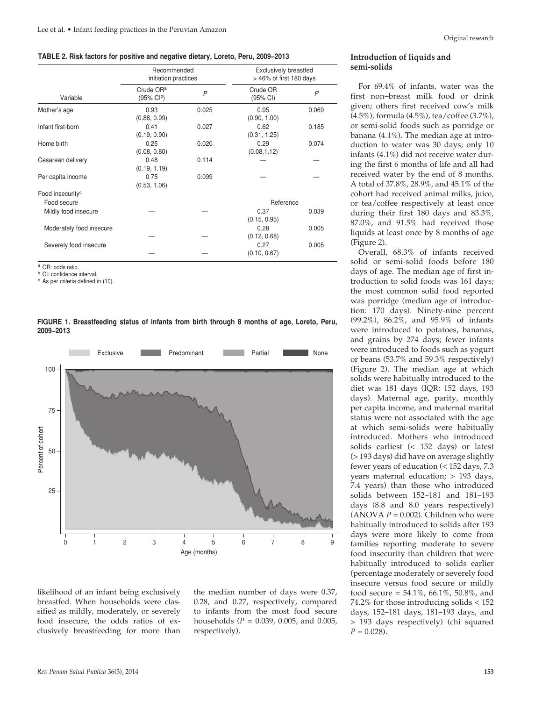#### **TABLE 2. Risk factors for positive and negative dietary, Loreto, Peru, 2009–2013**

|                              | Recommended<br>initiation practices            |       | <b>Exclusively breastfed</b><br>> 46% of first 180 days |       |
|------------------------------|------------------------------------------------|-------|---------------------------------------------------------|-------|
| Variable                     | Crude OR <sup>a</sup><br>$(95\% \text{ Cl}^b)$ | P     | Crude OR<br>(95% CI)                                    | P     |
| Mother's age                 | 0.93<br>(0.88, 0.99)                           | 0.025 | 0.95<br>(0.90, 1.00)                                    | 0.069 |
| Infant first-born            | 0.41<br>(0.19, 0.90)                           | 0.027 | 0.62<br>(0.31, 1.25)                                    | 0.185 |
| Home birth                   | 0.25<br>(0.08, 0.80)                           | 0.020 | 0.29<br>(0.08, 1.12)                                    | 0.074 |
| Cesarean delivery            | 0.48<br>(0.19, 1.19)                           | 0.114 |                                                         |       |
| Per capita income            | 0.75<br>(0.53, 1.06)                           | 0.099 |                                                         |       |
| Food insecurity <sup>c</sup> |                                                |       |                                                         |       |
| Food secure                  |                                                |       | Reference                                               |       |
| Mildly food insecure         |                                                |       | 0.37<br>(0.15, 0.95)                                    | 0.039 |
| Moderately food insecure     |                                                |       | 0.28<br>(0.12, 0.68)                                    | 0.005 |
| Severely food insecure       |                                                |       | 0.27<br>(0.10, 0.67)                                    | 0.005 |

<sup>a</sup> OR: odds ratio.

**b** CI: confidence interval.

<sup>c</sup> As per criteria defined in (10).





likelihood of an infant being exclusively breastfed. When households were classified as mildly, moderately, or severely food insecure, the odds ratios of exclusively breastfeeding for more than

the median number of days were 0.37, 0.28, and 0.27, respectively, compared to infants from the most food secure households (*P* = 0.039, 0.005, and 0.005, respectively).

## **Introduction of liquids and semi-solids**

For 69.4% of infants, water was the first non–breast milk food or drink given; others first received cow's milk (4.5%), formula (4.5%), tea/coffee (3.7%), or semi-solid foods such as porridge or banana (4.1%). The median age at introduction to water was 30 days; only 10 infants (4.1%) did not receive water during the first 6 months of life and all had received water by the end of 8 months. A total of 37.8%, 28.9%, and 45.1% of the cohort had received animal milks, juice, or tea/coffee respectively at least once during their first 180 days and 83.3%, 87.0%, and 91.5% had received those liquids at least once by 8 months of age (Figure 2).

Overall, 68.3% of infants received solid or semi-solid foods before 180 days of age. The median age of first introduction to solid foods was 161 days; the most common solid food reported was porridge (median age of introduction: 170 days). Ninety-nine percent (99.2%), 86.2%, and 95.9% of infants were introduced to potatoes, bananas, and grains by 274 days; fewer infants were introduced to foods such as yogurt or beans (53.7% and 59.3% respectively) (Figure 2). The median age at which solids were habitually introduced to the diet was 181 days (IQR: 152 days, 193 days). Maternal age, parity, monthly per capita income, and maternal marital status were not associated with the age at which semi-solids were habitually introduced. Mothers who introduced solids earliest (< 152 days) or latest (> 193 days) did have on average slightly fewer years of education (< 152 days, 7.3 years maternal education; > 193 days, 7.4 years) than those who introduced solids between 152–181 and 181–193 days (8.8 and 8.0 years respectively) (ANOVA  $P = 0.002$ ). Children who were habitually introduced to solids after 193 days were more likely to come from families reporting moderate to severe food insecurity than children that were habitually introduced to solids earlier (percentage moderately or severely food insecure versus food secure or mildly food secure = 54.1%, 66.1%, 50.8%, and 74.2% for those introducing solids < 152 days, 152–181 days, 181–193 days, and > 193 days respectively) (chi squared  $P = 0.028$ .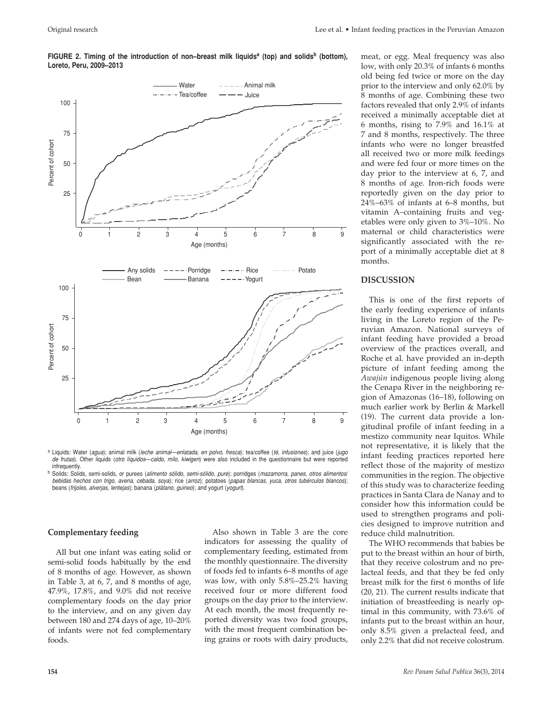

**FIGURE 2. Timing of the introduction of non–breast milk liquids<sup>a</sup> (top) and solids<sup>b</sup> (bottom), Loreto, Peru, 2009–2013**

<sup>a</sup> Liquids: Water (*agua*); animal milk (*leche animal*—*enlatada*, *en polvo*, *fresca*); tea/coffee (*té*, *infusiones*); and juice (*jugo de frutas*). Other liquids (*otro líquidos*—*caldo*, *milo*, *kiwigen*) were also included in the questionnaire but were reported infrequently.

<sup>b</sup> Solids: Solids, semi-solids, or purees (*alimento sólido*, *semi-sólido*, *pure*); porridges (*mazamorra*, *panes*, *otros alimentos*/ *bebidas hechos con trigo*, *avena*, *cebada*, *soya*); rice (*arroz*); potatoes (*papas blancas*, *yuca*, *otros tubérculos blancos*); beans (*frijoles*, *alverjas*, *lentejas*); banana (*plátano*, *guineo*); and yogurt (*yogurt*).

#### **Complementary feeding**

All but one infant was eating solid or semi-solid foods habitually by the end of 8 months of age. However, as shown in Table 3, at 6, 7, and 8 months of age, 47.9%, 17.8%, and 9.0% did not receive complementary foods on the day prior to the interview, and on any given day between 180 and 274 days of age, 10–20% of infants were not fed complementary foods.

Also shown in Table 3 are the core indicators for assessing the quality of complementary feeding, estimated from the monthly questionnaire. The diversity of foods fed to infants 6–8 months of age was low, with only 5.8%–25.2% having received four or more different food groups on the day prior to the interview. At each month, the most frequently reported diversity was two food groups, with the most frequent combination being grains or roots with dairy products,

meat, or egg. Meal frequency was also low, with only 20.3% of infants 6 months old being fed twice or more on the day prior to the interview and only 62.0% by 8 months of age. Combining these two factors revealed that only 2.9% of infants received a minimally acceptable diet at 6 months, rising to 7.9% and 16.1% at 7 and 8 months, respectively. The three infants who were no longer breastfed all received two or more milk feedings and were fed four or more times on the day prior to the interview at 6, 7, and 8 months of age. Iron-rich foods were reportedly given on the day prior to 24%–63% of infants at 6–8 months, but vitamin A–containing fruits and vegetables were only given to 3%–10%. No maternal or child characteristics were significantly associated with the report of a minimally acceptable diet at 8 months.

## **DISCUSSION**

This is one of the first reports of the early feeding experience of infants living in the Loreto region of the Peruvian Amazon. National surveys of infant feeding have provided a broad overview of the practices overall, and Roche et al. have provided an in-depth picture of infant feeding among the *Awajún* indigenous people living along the Cenapa River in the neighboring region of Amazonas (16–18), following on much earlier work by Berlin & Markell (19). The current data provide a longitudinal profile of infant feeding in a mestizo community near Iquitos. While not representative, it is likely that the infant feeding practices reported here reflect those of the majority of mestizo communities in the region. The objective of this study was to characterize feeding practices in Santa Clara de Nanay and to consider how this information could be used to strengthen programs and policies designed to improve nutrition and reduce child malnutrition.

The WHO recommends that babies be put to the breast within an hour of birth, that they receive colostrum and no prelacteal feeds, and that they be fed only breast milk for the first 6 months of life (20, 21). The current results indicate that initiation of breastfeeding is nearly optimal in this community, with 73.6% of infants put to the breast within an hour, only 8.5% given a prelacteal feed, and only 2.2% that did not receive colostrum.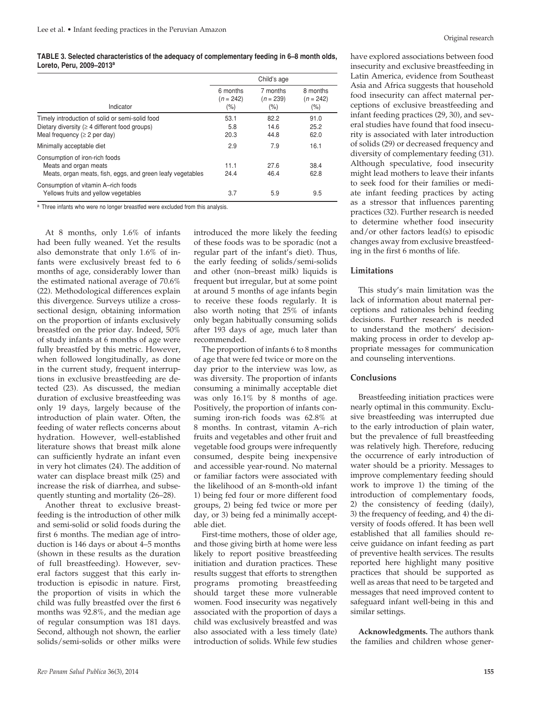**TABLE 3. Selected characteristics of the adequacy of complementary feeding in 6–8 month olds, Loreto, Peru, 2009–2013a**

|                                                                                                                                              | Child's age                    |                                 |                                    |
|----------------------------------------------------------------------------------------------------------------------------------------------|--------------------------------|---------------------------------|------------------------------------|
| Indicator                                                                                                                                    | 6 months<br>$(n = 242)$<br>(%) | 7 months<br>$(n = 239)$<br>(% ) | 8 months<br>$(n = 242)$<br>$(\% )$ |
| Timely introduction of solid or semi-solid food<br>Dietary diversity ( $\geq 4$ different food groups)<br>Meal frequency ( $\geq$ 2 per day) | 53.1<br>5.8<br>20.3            | 82.2<br>14.6<br>44.8            | 91.0<br>25.2<br>62.0               |
| Minimally acceptable diet                                                                                                                    | 2.9                            | 7.9                             | 16.1                               |
| Consumption of iron-rich foods<br>Meats and organ meats<br>Meats, organ meats, fish, eggs, and green leafy vegetables                        | 11.1<br>24.4                   | 27.6<br>46.4                    | 38.4<br>62.8                       |
| Consumption of vitamin A-rich foods<br>Yellows fruits and yellow vegetables                                                                  | 3.7                            | 5.9                             | 9.5                                |

a Three infants who were no longer breastfed were excluded from this analysis.

At 8 months, only 1.6% of infants had been fully weaned. Yet the results also demonstrate that only 1.6% of infants were exclusively breast fed to 6 months of age, considerably lower than the estimated national average of 70.6% (22). Methodological differences explain this divergence. Surveys utilize a crosssectional design, obtaining information on the proportion of infants exclusively breastfed on the prior day. Indeed, 50% of study infants at 6 months of age were fully breastfed by this metric. However, when followed longitudinally, as done in the current study, frequent interruptions in exclusive breastfeeding are detected (23). As discussed, the median duration of exclusive breastfeeding was only 19 days, largely because of the introduction of plain water. Often, the feeding of water reflects concerns about hydration. However, well-established literature shows that breast milk alone can sufficiently hydrate an infant even in very hot climates (24). The addition of water can displace breast milk (25) and increase the risk of diarrhea, and subsequently stunting and mortality (26–28).

Another threat to exclusive breastfeeding is the introduction of other milk and semi-solid or solid foods during the first 6 months. The median age of introduction is 146 days or about 4–5 months (shown in these results as the duration of full breastfeeding). However, several factors suggest that this early introduction is episodic in nature. First, the proportion of visits in which the child was fully breastfed over the first 6 months was 92.8%, and the median age of regular consumption was 181 days. Second, although not shown, the earlier solids/semi-solids or other milks were

introduced the more likely the feeding of these foods was to be sporadic (not a regular part of the infant's diet). Thus, the early feeding of solids/semi-solids and other (non–breast milk) liquids is frequent but irregular, but at some point at around 5 months of age infants begin to receive these foods regularly. It is also worth noting that 25% of infants only began habitually consuming solids after 193 days of age, much later than recommended.

The proportion of infants 6 to 8 months of age that were fed twice or more on the day prior to the interview was low, as was diversity. The proportion of infants consuming a minimally acceptable diet was only 16.1% by 8 months of age. Positively, the proportion of infants consuming iron-rich foods was 62.8% at 8 months. In contrast, vitamin A–rich fruits and vegetables and other fruit and vegetable food groups were infrequently consumed, despite being inexpensive and accessible year-round. No maternal or familiar factors were associated with the likelihood of an 8-month-old infant 1) being fed four or more different food groups, 2) being fed twice or more per day, or 3) being fed a minimally acceptable diet.

First-time mothers, those of older age, and those giving birth at home were less likely to report positive breastfeeding initiation and duration practices. These results suggest that efforts to strengthen programs promoting breastfeeding should target these more vulnerable women. Food insecurity was negatively associated with the proportion of days a child was exclusively breastfed and was also associated with a less timely (late) introduction of solids. While few studies

have explored associations between food insecurity and exclusive breastfeeding in Latin America, evidence from Southeast Asia and Africa suggests that household food insecurity can affect maternal perceptions of exclusive breastfeeding and infant feeding practices (29, 30), and several studies have found that food insecurity is associated with later introduction of solids (29) or decreased frequency and diversity of complementary feeding (31). Although speculative, food insecurity might lead mothers to leave their infants to seek food for their families or mediate infant feeding practices by acting as a stressor that influences parenting practices (32). Further research is needed to determine whether food insecurity and/or other factors lead(s) to episodic changes away from exclusive breastfeeding in the first 6 months of life.

#### **Limitations**

This study's main limitation was the lack of information about maternal perceptions and rationales behind feeding decisions. Further research is needed to understand the mothers' decisionmaking process in order to develop appropriate messages for communication and counseling interventions.

#### **Conclusions**

Breastfeeding initiation practices were nearly optimal in this community. Exclusive breastfeeding was interrupted due to the early introduction of plain water, but the prevalence of full breastfeeding was relatively high. Therefore, reducing the occurrence of early introduction of water should be a priority. Messages to improve complementary feeding should work to improve 1) the timing of the introduction of complementary foods, 2) the consistency of feeding (daily), 3) the frequency of feeding, and 4) the diversity of foods offered. It has been well established that all families should receive guidance on infant feeding as part of preventive health services. The results reported here highlight many positive practices that should be supported as well as areas that need to be targeted and messages that need improved content to safeguard infant well-being in this and similar settings.

**Acknowledgments.** The authors thank the families and children whose gener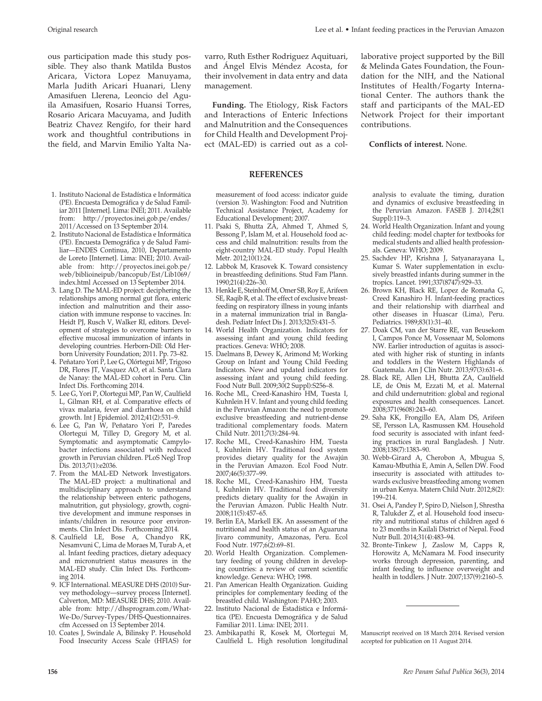ous participation made this study possible. They also thank Matilda Bustos Aricara, Victora Lopez Manuyama, Marla Judith Aricari Huanari, Lleny Amasifuen Llerena, Leoncio del Aguila Amasifuen, Rosario Huansi Torres, Rosario Aricara Macuyama, and Judith Beatriz Chavez Rengifo, for their hard work and thoughtful contributions in the field, and Marvin Emilio Yalta Na-

- 1. Instituto Nacional de Estadística e Informática (PE). Encuesta Demográfica y de Salud Familiar 2011 [Internet]. Lima: INEI; 2011. Available from: http://proyectos.inei.gob.pe/endes/ 2011/Accessed on 13 September 2014.
- 2. Instituto Nacional de Estadística e Informática (PE). Encuesta Demográfica y de Salud Familiar—ENDES Continua, 2010, Departamento de Loreto [Internet]. Lima: INEI; 2010. Available from: http://proyectos.inei.gob.pe/ web/biblioineipub/bancopub/Est/Lib1069/ index.html Accessed on 13 September 2014.
- 3. Lang D. The MAL-ED project: deciphering the relationships among normal gut flora, enteric infection and malnutrition and their association with immune response to vaccines. In: Heidt PJ, Rusch V, Walker RI, editors. Development of strategies to overcome barriers to effective mucosal immunization of infants in developing countries. Herborn-Dill: Old Herborn University Foundation; 2011. Pp. 73–82.
- 4. Peñataro Yori P, Lee G, Olórtegui MP, Trigoso DR, Flores JT, Vasquez AO, et al. Santa Clara de Nanay: the MAL-ED cohort in Peru. Clin Infect Dis. Forthcoming 2014.
- 5. Lee G, Yori P, Olortegui MP, Pan W, Caulfield L, Gilman RH, et al. Comparative effects of vivax malaria, fever and diarrhoea on child growth. Int J Epidemiol. 2012;41(2):531–9.
- 6. Lee G, Pan W, Peñataro Yori P, Paredes Olortegui M, Tilley D, Gregory M, et al. Symptomatic and asymptomatic Campylobacter infections associated with reduced growth in Peruvian children. PLoS Negl Trop Dis. 2013;7(1):e2036.
- 7. From the MAL-ED Network Investigators. The MAL-ED project: a multinational and multidisciplinary approach to understand the relationship between enteric pathogens, malnutrition, gut physiology, growth, cognitive development and immune responses in infants/children in resource poor environments. Clin Infect Dis. Forthcoming 2014.
- 8. Caulfield LE, Bose A, Chandyo RK, Nesamvuni C, Lima de Moraes M, Turab A, et al. Infant feeding practices, dietary adequacy and micronutrient status measures in the MAL-ED study. Clin Infect Dis. Forthcoming 2014.
- 9. ICF International. MEASURE DHS (2010) Survey methodology—survey process [Internet]. Calverton, MD: MEASURE DHS; 2010. Available from: http://dhsprogram.com/What-We-Do/Survey-Types/DHS-Questionnaires. cfm Accessed on 13 September 2014.
- 10. Coates J, Swindale A, Bilinsky P. Household Food Insecurity Access Scale (HFIAS) for

**Funding.** The Etiology, Risk Factors and Interactions of Enteric Infections and Malnutrition and the Consequences for Child Health and Development Project (MAL-ED) is carried out as a col-

management.

# **REFERENCES**

measurement of food access: indicator guide (version 3). Washington: Food and Nutrition Technical Assistance Project, Academy for Educational Development; 2007.

- 11. Psaki S, Bhutta ZA, Ahmed T, Ahmed S, Bessong P, Islam M, et al. Household food access and child malnutrition: results from the eight-country MAL-ED study. Popul Health Metr. 2012;10(1):24.
- 12. Labbok M, Krasovek K. Toward consistency in breastfeeding definitions. Stud Fam Plann. 1990;21(4):226–30.
- 13. Henkle E, Steinhoff M, Omer SB, Roy E, Arifeen SE, Raqib R, et al. The effect of exclusive breastfeeding on respiratory illness in young infants in a maternal immunization trial in Bangladesh. Pediatr Infect Dis J. 2013;32(5):431–5.
- 14. World Health Organization. Indicators for assessing infant and young child feeding practices. Geneva: WHO; 2008.
- 15. Daelmans B, Dewey K, Arimond M; Working Group on Infant and Young Child Feeding Indicators. New and updated indicators for assessing infant and young child feeding. Food Nutr Bull. 2009;30(2 Suppl):S256–8.
- 16. Roche ML, Creed-Kanashiro HM, Tuesta I, Kuhnlein H V. Infant and young child feeding in the Peruvian Amazon: the need to promote exclusive breastfeeding and nutrient-dense traditional complementary foods. Matern Child Nutr. 2011;7(3):284–94.
- 17. Roche ML, Creed-Kanashiro HM, Tuesta I, Kuhnlein HV. Traditional food system provides dietary quality for the Awajún in the Peruvian Amazon. Ecol Food Nutr. 2007;46(5):377–99.
- 18. Roche ML, Creed-Kanashiro HM, Tuesta I, Kuhnlein HV. Traditional food diversity predicts dietary quality for the Awajún in the Peruvian Amazon. Public Health Nutr. 2008;11(5):457–65.
- 19. Berlin EA, Markell EK. An assessment of the nutritional and health status of an Aguaruna Jivaro community, Amazonas, Peru. Ecol Food Nutr. 1977;6(2):69–81.
- 20. World Health Organization. Complementary feeding of young children in developing countries: a review of current scientific knowledge. Geneva: WHO; 1998.
- 21. Pan American Health Organization. Guiding principles for complementary feeding of the breastfed child. Washington: PAHO; 2003.
- 22. Instituto Nacional de Estadística e Informática (PE). Encuesta Demográfica y de Salud Familiar 2011. Lima: INEI; 2011.
- 23. Ambikapathi R, Kosek M, Olortegui M, Caulfield L. High resolution longitudinal

laborative project supported by the Bill & Melinda Gates Foundation, the Foundation for the NIH, and the National Institutes of Health/Fogarty International Center. The authors thank the staff and participants of the MAL-ED Network Project for their important contributions.

# **Conflicts of interest.** None.

analysis to evaluate the timing, duration and dynamics of exclusive breastfeeding in the Peruvian Amazon. FASEB J. 2014;28(1 Suppl):119–3.

- 24. World Health Organization. Infant and young child feeding: model chapter for textbooks for medical students and allied health professionals. Geneva: WHO; 2009.
- 25. Sachdev HP, Krishna J, Satyanarayana L, Kumar S. Water supplementation in exclusively breastfed infants during summer in the tropics. Lancet. 1991;337(8747):929–33.
- 26. Brown KH, Black RE, Lopez de Romaña G, Creed Kanashiro H. Infant-feeding practices and their relationship with diarrheal and other diseases in Huascar (Lima), Peru. Pediatrics. 1989;83(1):31–40.
- 27. Doak CM, van der Starre RE, van Beusekom I, Campos Ponce M, Vossenaar M, Solomons NW. Earlier introduction of aguitas is associated with higher risk of stunting in infants and toddlers in the Western Highlands of Guatemala. Am J Clin Nutr. 2013;97(3):631–6.
- 28. Black RE, Allen LH, Bhutta ZA, Caulfield LE, de Onis M, Ezzati M, et al. Maternal and child undernutrition: global and regional exposures and health consequences. Lancet. 2008;371(9608):243–60.
- 29. Saha KK, Frongillo EA, Alam DS, Arifeen SE, Persson LA, Rasmussen KM. Household food security is associated with infant feeding practices in rural Bangladesh. J Nutr. 2008;138(7):1383–90.
- 30. Webb-Girard A, Cherobon A, Mbugua S, Kamau-Mbuthia E, Amin A, Sellen DW. Food insecurity is associated with attitudes towards exclusive breastfeeding among women in urban Kenya. Matern Child Nutr. 2012;8(2): 199–214.
- 31. Osei A, Pandey P, Spiro D, Nielson J, Shrestha R, Talukder Z, et al. Household food insecurity and nutritional status of children aged 6 to 23 months in Kailali District of Nepal. Food Nutr Bull. 2014;31(4):483–94.
- 32. Bronte-Tinkew J, Zaslow M, Capps R, Horowitz A, McNamara M. Food insecurity works through depression, parenting, and infant feeding to influence overweight and health in toddlers. J Nutr. 2007;137(9):2160–5.

Manuscript received on 18 March 2014. Revised version accepted for publication on 11 August 2014.